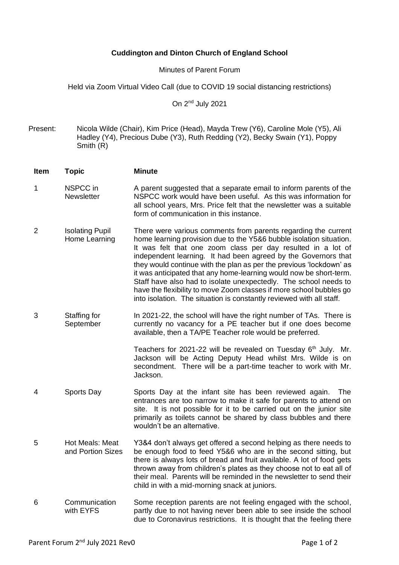## **Cuddington and Dinton Church of England School**

Minutes of Parent Forum

Held via Zoom Virtual Video Call (due to COVID 19 social distancing restrictions)

On 2<sup>nd</sup> July 2021

Present: Nicola Wilde (Chair), Kim Price (Head), Mayda Trew (Y6), Caroline Mole (Y5), Ali Hadley (Y4), Precious Dube (Y3), Ruth Redding (Y2), Becky Swain (Y1), Poppy Smith (R)

**Item Topic Minute** 1 NSPCC in **Newsletter** A parent suggested that a separate email to inform parents of the NSPCC work would have been useful. As this was information for all school years, Mrs. Price felt that the newsletter was a suitable form of communication in this instance. 2 Isolating Pupil Home Learning There were various comments from parents regarding the current home learning provision due to the Y5&6 bubble isolation situation. It was felt that one zoom class per day resulted in a lot of independent learning. It had been agreed by the Governors that they would continue with the plan as per the previous 'lockdown' as it was anticipated that any home-learning would now be short-term. Staff have also had to isolate unexpectedly. The school needs to have the flexibility to move Zoom classes if more school bubbles go into isolation. The situation is constantly reviewed with all staff. 3 Staffing for **September** In 2021-22, the school will have the right number of TAs. There is currently no vacancy for a PE teacher but if one does become available, then a TA/PE Teacher role would be preferred. Teachers for 2021-22 will be revealed on Tuesday 6<sup>th</sup> July. Mr. Jackson will be Acting Deputy Head whilst Mrs. Wilde is on secondment. There will be a part-time teacher to work with Mr. Jackson. 4 Sports Day Sports Day at the infant site has been reviewed again. The entrances are too narrow to make it safe for parents to attend on site. It is not possible for it to be carried out on the junior site primarily as toilets cannot be shared by class bubbles and there wouldn't be an alternative. 5 Hot Meals: Meat and Portion Sizes Y3&4 don't always get offered a second helping as there needs to be enough food to feed Y5&6 who are in the second sitting, but there is always lots of bread and fruit available. A lot of food gets thrown away from children's plates as they choose not to eat all of their meal. Parents will be reminded in the newsletter to send their child in with a mid-morning snack at juniors. 6 Communication with EYFS Some reception parents are not feeling engaged with the school, partly due to not having never been able to see inside the school due to Coronavirus restrictions. It is thought that the feeling there